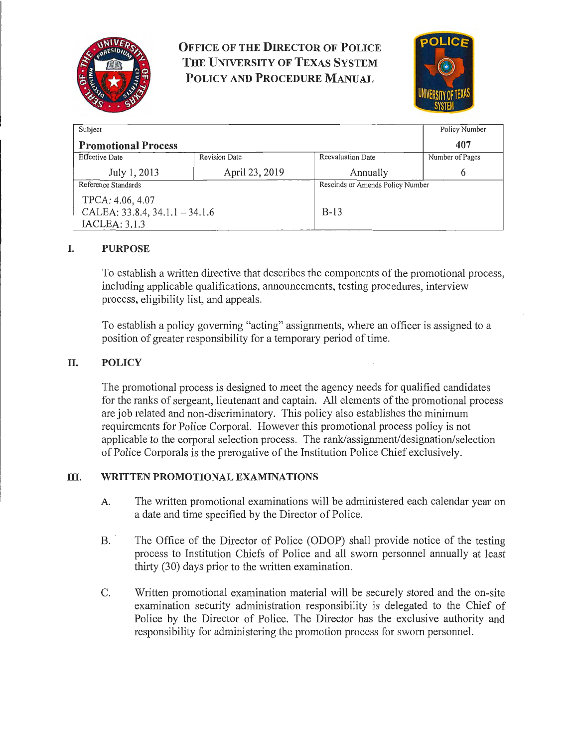

**OFFICE OF THE DIRECTOR OF POLICE THE UNIVERSITY OF TEXAS SYSTEM POLICY AND PROCEDURE MANUAL** 



| Subject                             |                      |                                  | Policy Number   |
|-------------------------------------|----------------------|----------------------------------|-----------------|
| <b>Promotional Process</b>          |                      |                                  | 407             |
| <b>Effective Date</b>               | <b>Revision Date</b> | Reevaluation Date                | Number of Pages |
| July 1, 2013                        | April 23, 2019       | Annually                         | 6               |
| Reference Standards                 |                      | Rescinds or Amends Policy Number |                 |
| TPCA: 4.06, 4.07                    |                      |                                  |                 |
| CALEA: $33.8.4$ , $34.1.1 - 34.1.6$ |                      | $B-13$                           |                 |
| IACLEA: 3.1.3                       |                      |                                  |                 |

# **I. PURPOSE**

To establish a written directive that describes the components of the promotional process, including applicable qualifications, announcements, testing procedures, interview process, eligibility list, and appeals.

To establish a policy governing "acting" assignments, where an officer is assigned to a position of greater responsibility for a temporary period of time.

## **II. POLICY**

The promotional process is designed to meet the agency needs for qualified candidates for the ranks of sergeant, lieutenant and captain. All elements of the promotional process are job related and non-discriminatory. This policy also establishes the minimum requirements for Police Corporal. However this promotional process policy is not applicable to the corporal selection process. The rank/assignment/designation/selection of Police Corporals is the prerogative of the Institution Police Chief exclusively.

#### **III. WRITTEN PROMOTIONAL EXAMINATIONS**

- A. The written promotional examinations will be administered each calendar year on a date and time specified by the Director of Police.
- B. The Office of the Director of Police (ODOP) shall provide notice of the testing process to Institution Chiefs of Police and all sworn personnel annually at least thirty  $(30)$  days prior to the written examination.
- C. Written promotional examination material will be securely stored and the on-site examination security administration responsibility is delegated to the Chief of Police by the Director of Police. The Director has the exclusive authority and responsibility for administering the promotion process for sworn personnel.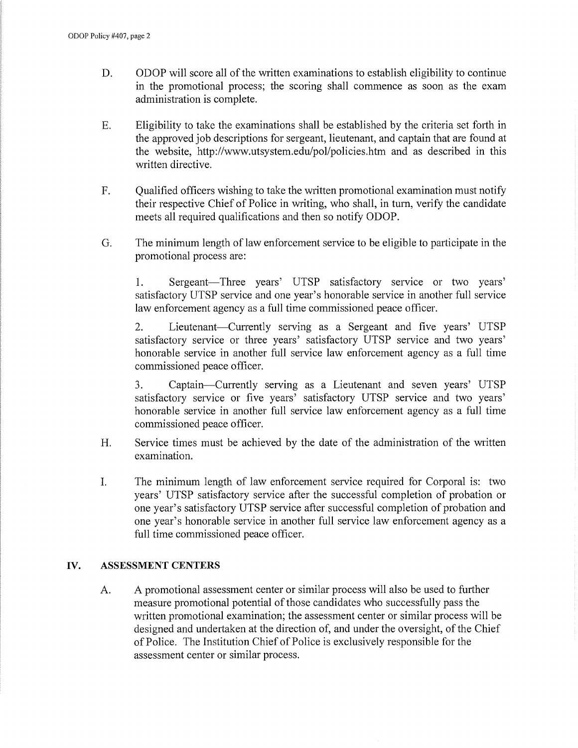- D. ODOP will score all of the written examinations to establish eligibility to continue in the promotional process; the scoring shall commence as soon as the exam administration is complete.
- E. Eligibility to take the examinations shall be established by the criteria set forth in the approved job descriptions for sergeant, lieutenant, and captain that are found at the website, http://www.utsystem.edu/pol/policies.htm and as described in this written directive.
- F. Qualified officers wishing to take the written promotional examination must notify their respective Chief of Police in writing, who shall, in tum, verify the candidate meets all required qualifications and then so notify ODOP.
- G. The minimum length of law enforcement service to be eligible to participate in the promotional process are:

1. Sergeant-Three years' UTSP satisfactory service or two years' satisfactory UTSP service and one year's honorable service in another full service law enforcement agency as a full time commissioned peace officer.

2. Lieutenant—Currently serving as a Sergeant and five years' UTSP satisfactory service or three years' satisfactory UTSP service and two years' honorable service in another full service law enforcement agency as a full time commissioned peace officer.

3. Captain-Currently serving as a Lieutenant and seven years' UTSP satisfactory service or five years' satisfactory UTSP service and two years' honorable service in another full service law enforcement agency as a full time commissioned peace officer.

- H. Service times must be achieved by the date of the administration of the written examination.
- I. The minimum length of law enforcement service required for Corporal is: two years' UTSP satisfactory service after the successful completion of probation or one year's satisfactory UTSP service after successful completion of probation and one year's honorable service in another full service law enforcement agency as a full time commissioned peace officer.

#### **IV. ASSESSMENT CENTERS**

A. A promotional assessment center or similar process will also be used to further measure promotional potential of those candidates who successfully pass the written promotional examination; the assessment center or similar process will be designed and undertaken at the direction of, and under the oversight, of the Chief of Police. The Institution Chief of Police is exclusively responsible for the assessment center or similar process.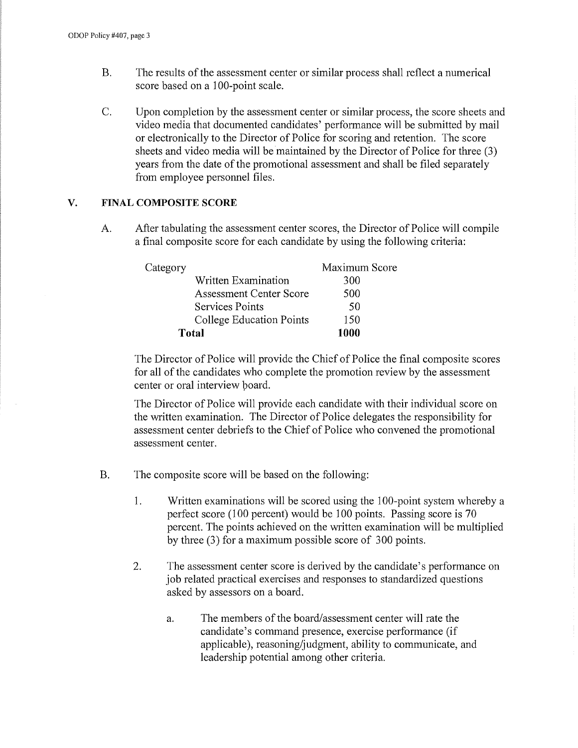- B. The results of the assessment center or similar process shall reflect a numerical score based on a 100-point scale.
- C. Upon completion by the assessment center or similar process, the score sheets and video media that documented candidates' performance will be submitted by mail or electronically to the Director of Police for scoring and retention. The score sheets and video media will be maintained by the Director of Police for three (3) years from the date of the promotional assessment and shall be filed separately from employee personnel files.

# **V. FINAL COMPOSITE SCORE**

A. After tabulating the assessment center scores, the Director of Police will compile a final composite score for each candidate by using the following criteria:

| Category |                                | Maximum Score |
|----------|--------------------------------|---------------|
|          | Written Examination            | 300           |
|          | <b>Assessment Center Score</b> | 500           |
|          | <b>Services Points</b>         | 50            |
|          | College Education Points       | 150           |
| Total    |                                | 1000          |

The Director of Police will provide the Chief of Police the final composite scores for all of the candidates who complete the promotion review by the assessment center or oral interview poard.

The Director of Police will provide each candidate with their individual score on the written examination. The Director of Police delegates the responsibility for assessment center debriefs to the Chief of Police who convened the promotional assessment center.

- B. The composite score will be based on the following:
	- 1. Written examinations will be scored using the 100-point system whereby a perfect score (100 percent) would be 100 points. Passing score is 70 percent. The points achieved on the written examination will be multiplied by three (3) for a maximum possible score of 300 points.
	- 2. The assessment center score is derived by the candidate's performance on job related practical exercises and responses to standardized questions asked by assessors on a board.
		- a. The members of the board/assessment center will rate the candidate's command presence, exercise performance (if applicable), reasoning/judgment, ability to communicate, and leadership potential among other criteria.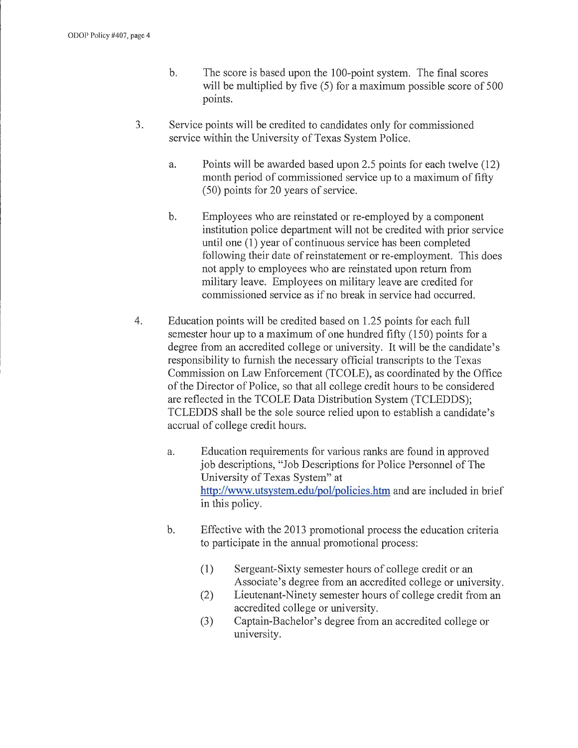- b. The score is based upon the 100-point system. The final scores will be multiplied by five (5) for a maximum possible score of 500 points.
- 3. Service points will be credited to candidates only for commissioned service within the University of Texas System Police.
	- a. Points will be awarded based upon 2.5 points for each twelve (12) month period of commissioned service up to a maximum of fifty (50) points for 20 years of service.
	- b. Employees who are reinstated or re-employed by a component institution police department will not be credited with prior service until one (1) year of continuous service has been completed following their date of reinstatement or re-employment. This does not apply to employees who are reinstated upon return from military leave. Employees on military leave are credited for commissioned service as if no break in service had occurred.
- 4. Education points will be credited based on 1.25 points for each full semester hour up to a maximum of one hundred fifty (150) points for a degree from an accredited college or university. It will be the candidate's responsibility to furnish the necessary official transcripts to the Texas Commission on Law Enforcement (TCOLE), as coordinated by the Office of the Director of Police, so that all college credit hours to be considered are reflected in the TCOLE Data Distribution System (TCLEDDS); TCLEDDS shall be the sole source relied upon to establish a candidate's accrual of college credit hours.
	- a. Education requirements for various ranks are found in approved job descriptions, "Job Descriptions for Police Personnel of The University of Texas System" at http://www.utsystem.edu/pol/policies.htm and are included in brief in this policy.
	- b. Effective with the 2013 promotional process the education criteria to participate in the annual promotional process:
		- (1) Sergeant-Sixty semester hours of college credit or an Associate's degree from an accredited college or university.
		- (2) Lieutenant-Ninety semester hours of college credit from an accredited college or university.
		- (3) Captain-Bachelor's degree from an accredited college or university.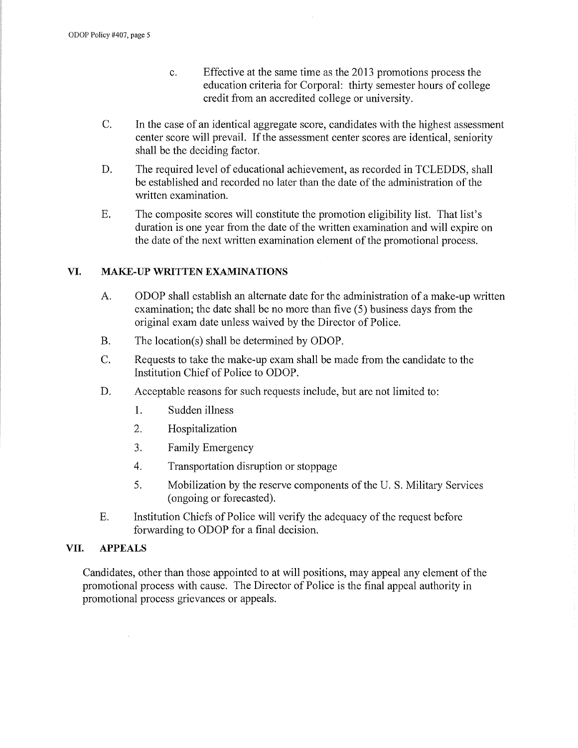- c. Effective at the same time as the 2013 promotions process the education criteria for Corporal: thhiy semester hours of college credit from an accredited college or university.
- C. In the case of an identical aggregate score, candidates with the highest assessment center score will prevail. If the assessment center scores are identical, seniority shall be the deciding factor.
- D. The required level of educational achievement, as recorded in TCLEDDS, shall be established and recorded no later than the date of the administration of the written examination.
- E. The composite scores will constitute the promotion eligibility list. That list's duration is one year from the date of the written examination and will expire on the date of the next written examination element of the promotional process.

## **VI. MAKE-UP WRITTEN EXAMINATIONS**

- A. ODOP shall establish an alternate date for the administration of a make-up written examination; the date shall be no more than five (5) business days from the original exam date unless waived by the Director of Police.
- B. The location(s) shall be determined by ODOP.
- C. Requests to take the make-up exam shall be made from the candidate to the Institution Chief of Police to ODOP.
- D. Acceptable reasons for such requests include, but are not limited to:
	- 1. Sudden illness
	- 2. Hospitalization
	- 3. Family Emergency
	- 4. Transportation disruption or stoppage
	- 5. Mobilization by the reserve components of the U. S. Military Services ( ongoing or forecasted).
- E. Institution Chiefs of Police will verify the adequacy of the request before forwarding to ODOP for a final decision.

#### **VII. APPEALS**

Candidates, other than those appointed to at will positions, may appeal any element of the promotional process with cause. The Director of Police is the final appeal authority in promotional process grievances or appeals.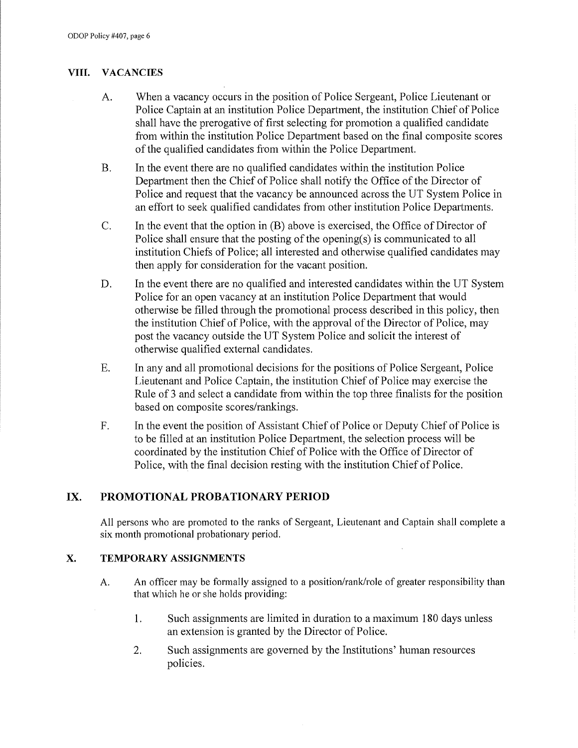# **VIII. VACANCIES**

- A. When a vacancy occurs in the position of Police Sergeant, Police Lieutenant or Police Captain at an institution Police Department, the institution Chief of Police shall have the prerogative of first selecting for promotion a qualified candidate from within the institution Police Department based on the final composite scores of the qualified candidates from within the Police Department.
- B. In the event there are no qualified candidates within the institution Police Department then the Chief of Police shall notify the Office of the Director of Police and request that the vacancy be announced across the UT System Police in an effort to seek qualified candidates from other institution Police Departments.
- C. In the event that the option in (B) above is exercised, the Office of Director of Police shall ensure that the posting of the opening(s) is communicated to all institution Chiefs of Police; all interested and otherwise qualified candidates may then apply for consideration for the vacant position.
- D. In the event there are no qualified and interested candidates within the UT System Police for an open vacancy at an institution Police Department that would otherwise be filled through the promotional process described in this policy, then the institution Chief of Police, with the approval of the Director of Police, may post the vacancy outside the UT System Police and solicit the interest of otherwise qualified external candidates.
- E. In any and all promotional decisions for the positions of Police Sergeant, Police Lieutenant and Police Captain, the institution Chief of Police may exercise the Rule of 3 and select a candidate from within the top three finalists for the position based on composite scores/rankings.
- F. In the event the position of Assistant Chief of Police or Deputy Chief of Police is to be filled at an institution Police Department, the selection process will be coordinated by the institution Chief of Police with the Office of Director of Police, with the final decision resting with the institution Chief of Police.

# **IX. PROMOTIONAL PROBATIONARY PERIOD**

All persons who are promoted to the ranks of Sergeant, Lieutenant and Captain shall complete a six month promotional probationary period.

# **X. TEMPORARY ASSIGNMENTS**

- A. An officer may be formally assigned to a position/rank/role of greater responsibility than that which he or she holds providing:
	- 1. Such assignments are limited in duration to a maximum 180 days unless an extension is granted by the Director of Police.
	- 2. Such assignments are governed by the Institutions' human resources policies.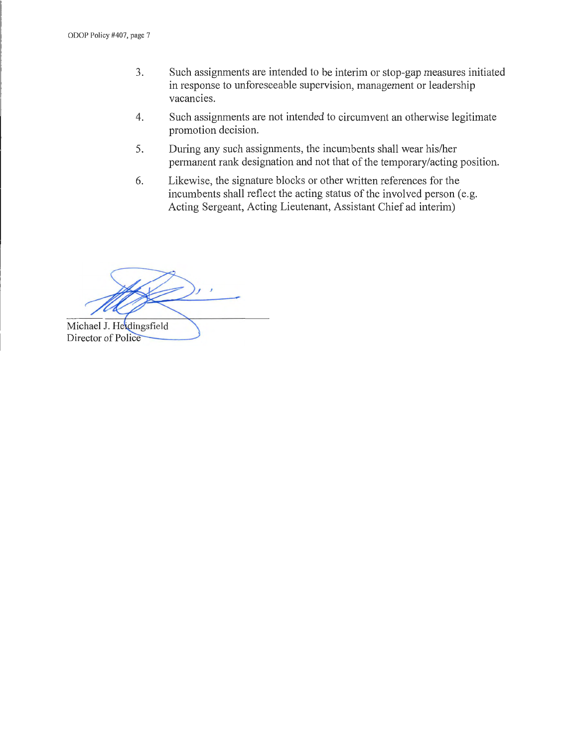- 3. Such assignments are intended to be interim or stop-gap measures initiated in response to unforeseeable supervision, management or leadership vacancies.
- 4. Such assignments are not intended to circumvent an otherwise legitimate promotion decision.
- 5. During any such assignments, the incumbents shall wear his/her permanent rank designation and not that of the temporary/acting position.
- 6. Likewise, the signature blocks or other written references for the incumbents shall reflect the acting status of the involved person (e.g. Acting Sergeant, Acting Lieutenant, Assistant Chief ad interim)

Michael J. Heidingsfield Director of Police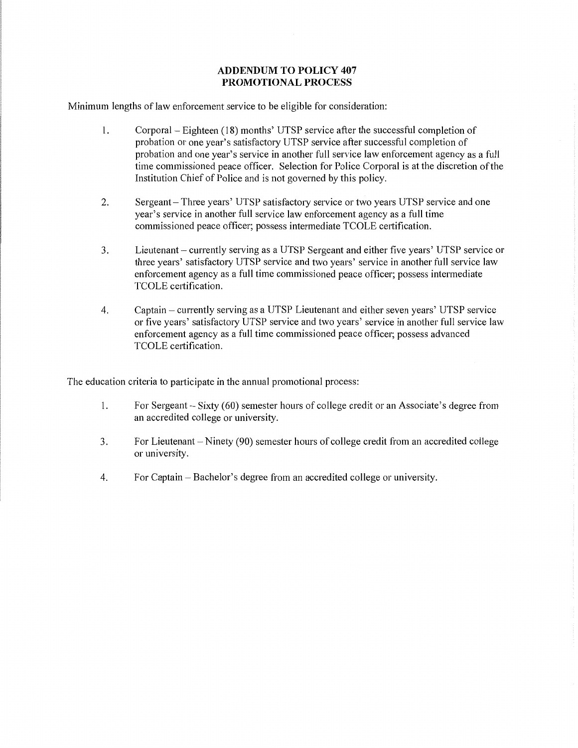#### **ADDENDUM TO POLICY 407 PROMOTIONAL PROCESS**

Minimum lengths of law enforcement service to be eligible for consideration:

- I. Corporal Eighteen (18) months' UTSP service after the successful completion of probation or one year's satisfactory UTSP service after successful completion of probation and one year's service in another full service law enforcement agency as a full time commissioned peace officer. Selection for Police Corporal is at the discretion of the Institution Chief of Police and is not governed by this policy.
- 2. Sergeant- Three years' UTSP satisfactory service or two years UTSP service and one year's service in another full service law enforcement agency as a full time commissioned peace officer; possess intermediate TCOLE certification.
- 3. Lieutenant currently serving as a UTSP Sergeant and either five years' UTSP service or three years' satisfactory UTSP service and two years' service in another full service law enforcement agency as a full time commissioned peace officer; possess intermediate TCOLE certification.
- 4. Captain- currently serving as a UTSP Lieutenant and either seven years' UTSP service or five years' satisfactory UTSP service and two years' service in another full service law enforcement agency as a full time commissioned peace officer; possess advanced TCOLE certification.

The education criteria to participate in the annual promotional process:

- 1. For Sergeant- Sixty (60) semester hours of college credit or an Associate's degree from an accredited college or university.
- 3. For Lieutenant Ninety (90) semester hours of college credit from an accredited college or university.
- 4. For Captain Bachelor's degree from an accredited college or university.